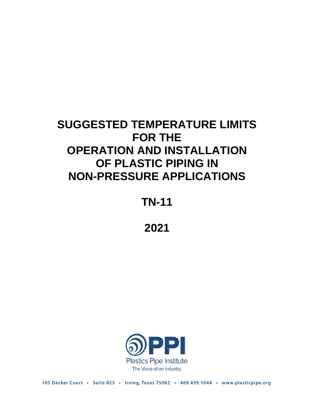# **SUGGESTED TEMPERATURE LIMITS FOR THE OPERATION AND INSTALLATION OF PLASTIC PIPING IN NON-PRESSURE APPLICATIONS**

**TN-11**

**2021**



105 Decker Court · Suite 825 · Irving, Texas 75062 · 469.499.1044 · www.plasticpipe.org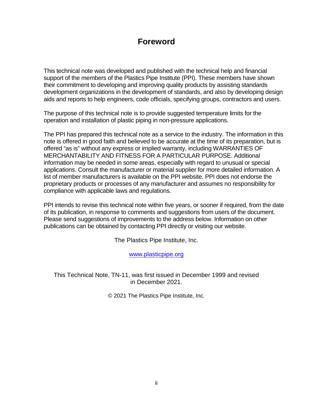### **Foreword**

This technical note was developed and published with the technical help and financial support of the members of the Plastics Pipe Institute (PPI). These members have shown their commitment to developing and improving quality products by assisting standards development organizations in the development of standards, and also by developing design aids and reports to help engineers, code officials, specifying groups, contractors and users.

The purpose of this technical note is to provide suggested temperature limits for the operation and installation of plastic piping in non-pressure applications.

The PPI has prepared this technical note as a service to the industry. The information in this note is offered in good faith and believed to be accurate at the time of its preparation, but is offered "as is" without any express or implied warranty, including WARRANTIES OF MERCHANTABILITY AND FITNESS FOR A PARTICULAR PURPOSE. Additional information may be needed in some areas, especially with regard to unusual or special applications. Consult the manufacturer or material supplier for more detailed information. A list of member manufacturers is available on the PPI website. PPI does not endorse the proprietary products or processes of any manufacturer and assumes no responsibility for compliance with applicable laws and regulations.

PPI intends to revise this technical note within five years, or sooner if required, from the date of its publication, in response to comments and suggestions from users of the document. Please send suggestions of improvements to the address below. Information on other publications can be obtained by contacting PPI directly or visiting our website.

The Plastics Pipe Institute, Inc.

[www.plasticpipe.org](http://www.plasticpipe.org/)

This Technical Note, TN-11, was first issued in December 1999 and revised in December 2021.

© 2021 The Plastics Pipe Institute, Inc.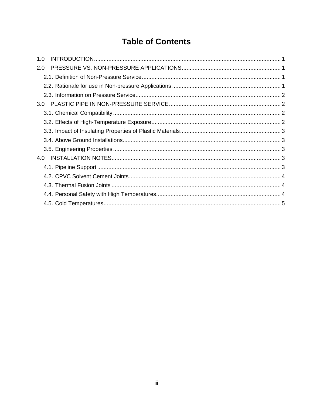## **Table of Contents**

| 1.0 |  |
|-----|--|
| 2.0 |  |
|     |  |
|     |  |
|     |  |
|     |  |
|     |  |
|     |  |
|     |  |
|     |  |
|     |  |
| 4.0 |  |
|     |  |
|     |  |
|     |  |
|     |  |
|     |  |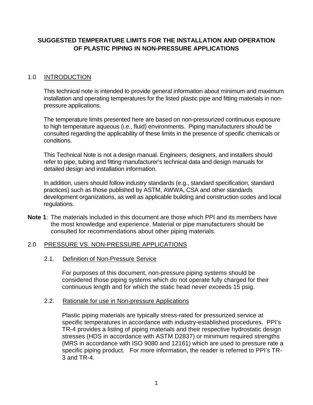#### **SUGGESTED TEMPERATURE LIMITS FOR THE INSTALLATION AND OPERATION OF PLASTIC PIPING IN NON-PRESSURE APPLICATIONS**

#### <span id="page-3-0"></span>1.0 INTRODUCTION

This technical note is intended to provide general information about minimum and maximum installation and operating temperatures for the listed plastic pipe and fitting materials in nonpressure applications.

The temperature limits presented here are based on non-pressurized continuous exposure to high temperature aqueous (i.e., fluid) environments. Piping manufacturers should be consulted regarding the applicability of these limits in the presence of specific chemicals or conditions.

This Technical Note is not a design manual. Engineers, designers, and installers should refer to pipe, tubing and fitting manufacturer's technical data and design manuals for detailed design and installation information.

In addition, users should follow industry standards (e.g., standard specification, standard practices) such as those published by ASTM, AWWA, CSA and other standards development organizations, as well as applicable building and construction codes and local regulations.

**Note 1**: The materials included in this document are those which PPI and its members have the most knowledge and experience. Material or pipe manufacturers should be consulted for recommendations about other piping materials.

#### <span id="page-3-2"></span><span id="page-3-1"></span>2.0 PRESSURE VS. NON-PRESSURE APPLICATIONS

#### 2.1. Definition of Non-Pressure Service

For purposes of this document, non-pressure piping systems should be considered those piping systems which do not operate fully charged for their continuous length and for which the static head never exceeds 15 psig.

#### <span id="page-3-3"></span>2.2. Rationale for use in Non-pressure Applications

Plastic piping materials are typically stress-rated for pressurized service at specific temperatures in accordance with industry-established procedures. PPI's TR-4 provides a listing of piping materials and their respective hydrostatic design stresses (HDS in accordance with ASTM D2837) or minimum required strengths (MRS in accordance with ISO 9080 and 12161) which are used to pressure rate a specific piping product. For more information, the reader is referred to PPI's TR-3 and TR-4.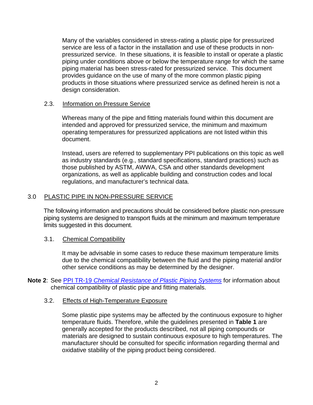Many of the variables considered in stress-rating a plastic pipe for pressurized service are less of a factor in the installation and use of these products in nonpressurized service. In these situations, it is feasible to install or operate a plastic piping under conditions above or below the temperature range for which the same piping material has been stress-rated for pressurized service. This document provides guidance on the use of many of the more common plastic piping products in those situations where pressurized service as defined herein is not a design consideration.

#### <span id="page-4-0"></span>2.3. Information on Pressure Service

Whereas many of the pipe and fitting materials found within this document are intended and approved for pressurized service, the minimum and maximum operating temperatures for pressurized applications are not listed within this document.

Instead, users are referred to supplementary PPI publications on this topic as well as industry standards (e.g., standard specifications, standard practices) such as those published by ASTM, AWWA, CSA and other standards development organizations, as well as applicable building and construction codes and local regulations, and manufacturer's technical data.

#### <span id="page-4-1"></span>3.0 PLASTIC PIPE IN NON-PRESSURE SERVICE

The following information and precautions should be considered before plastic non-pressure piping systems are designed to transport fluids at the minimum and maximum temperature limits suggested in this document.

#### <span id="page-4-2"></span>3.1. Chemical Compatibility

It may be advisable in some cases to reduce these maximum temperature limits due to the chemical compatibility between the fluid and the piping material and/or other service conditions as may be determined by the designer.

**Note 2**: See PPI TR-19 *[Chemical Resistance of Plastic Piping Systems](http://click.accelo.com/ls/click?upn=K75UyyQt0Gxzr85ozKFFDC728y0OZPgxXQHinsL2sP5-2BVFnCu2Y1IGICOeIreaK-2B6sMV_s-2Bm-2BPKDBVR12bElBH-2Fqqmnb1q3woaa5LnlO10iVghA39LcZtVoK3yOg-2FyJd8wh4FKPreWsB4YoMSXMcHBlsVmPFTF0OUuQlkh6EOpc2dTFzH1LLoVP5x6S78pufCQEzpMbM8y5sTjhrxbnpV-2F7DY11SGzmYuKq8pxxnirQc7zgOGt7WBkWQmairP52fFABB7W65moC1heQez8ZvCFSGjdtvKgYZ-2BTe0bG6xNlrXsHg28fu8B7VEfwd-2FtzEj6h976v-2B-2Bk1EyljV2WGAi-2B4ax9DSpWOgKwsPZzrWpad3w8R6sPRpUBV6RSCRusMf33zxuS)* for information about chemical compatibility of plastic pipe and fitting materials.

#### <span id="page-4-3"></span>3.2. Effects of High-Temperature Exposure

Some plastic pipe systems may be affected by the continuous exposure to higher temperature fluids. Therefore, while the guidelines presented in **Table 1** are generally accepted for the products described, not all piping compounds or materials are designed to sustain continuous exposure to high temperatures. The manufacturer should be consulted for specific information regarding thermal and oxidative stability of the piping product being considered.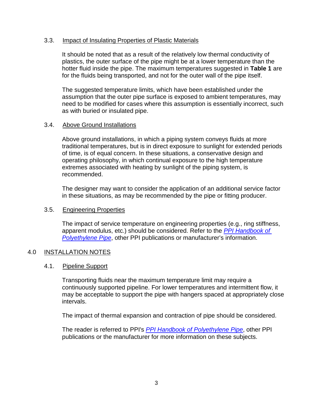#### <span id="page-5-0"></span>3.3. Impact of Insulating Properties of Plastic Materials

It should be noted that as a result of the relatively low thermal conductivity of plastics, the outer surface of the pipe might be at a lower temperature than the hotter fluid inside the pipe. The maximum temperatures suggested in **Table 1** are for the fluids being transported, and not for the outer wall of the pipe itself.

The suggested temperature limits, which have been established under the assumption that the outer pipe surface is exposed to ambient temperatures, may need to be modified for cases where this assumption is essentially incorrect, such as with buried or insulated pipe.

#### <span id="page-5-1"></span>3.4. Above Ground Installations

Above ground installations, in which a piping system conveys fluids at more traditional temperatures, but is in direct exposure to sunlight for extended periods of time, is of equal concern. In these situations, a conservative design and operating philosophy, in which continual exposure to the high temperature extremes associated with heating by sunlight of the piping system, is recommended.

The designer may want to consider the application of an additional service factor in these situations, as may be recommended by the pipe or fitting producer.

#### <span id="page-5-2"></span>3.5. Engineering Properties

The impact of service temperature on engineering properties (e.g., ring stiffness, apparent modulus, etc.) should be considered. Refer to the *[PPI Handbook](http://click.accelo.com/ls/click?upn=K75UyyQt0Gxzr85ozKFFDI0rTih6UPcnHVOE0RHVzIm3qIVgDtCiKaBf8Rordw4jLQ4d_s-2Bm-2BPKDBVR12bElBH-2Fqqmnb1q3woaa5LnlO10iVghA39LcZtVoK3yOg-2FyJd8wh4FKPreWsB4YoMSXMcHBlsVmPFTF0OUuQlkh6EOpc2dTFzH1LLoVP5x6S78pufCQEzpMbM8y5sTjhrxbnpV-2F7DY11SGzmYuKq8pxxnirQc7zgOKafascAun-2BrNhW54LPU8LlWcUexPBAEJojgChKf3Hy6NsaF2ow1GPNBN2Dz0xPpRG-2BRPOvJMNjqp7v75wTcfTSelvcjN1HkqxP7UvRDA-2F0krDCcW7k5B1VAC3bN9iu1DsyRbWGncLWZwSwGfD2p8f) of [Polyethylene Pipe](http://click.accelo.com/ls/click?upn=K75UyyQt0Gxzr85ozKFFDI0rTih6UPcnHVOE0RHVzIm3qIVgDtCiKaBf8Rordw4jLQ4d_s-2Bm-2BPKDBVR12bElBH-2Fqqmnb1q3woaa5LnlO10iVghA39LcZtVoK3yOg-2FyJd8wh4FKPreWsB4YoMSXMcHBlsVmPFTF0OUuQlkh6EOpc2dTFzH1LLoVP5x6S78pufCQEzpMbM8y5sTjhrxbnpV-2F7DY11SGzmYuKq8pxxnirQc7zgOKafascAun-2BrNhW54LPU8LlWcUexPBAEJojgChKf3Hy6NsaF2ow1GPNBN2Dz0xPpRG-2BRPOvJMNjqp7v75wTcfTSelvcjN1HkqxP7UvRDA-2F0krDCcW7k5B1VAC3bN9iu1DsyRbWGncLWZwSwGfD2p8f)*, other PPI publications or manufacturer's information.

#### <span id="page-5-4"></span><span id="page-5-3"></span>4.0 INSTALLATION NOTES

#### 4.1. Pipeline Support

Transporting fluids near the maximum temperature limit may require a continuously supported pipeline. For lower temperatures and intermittent flow, it may be acceptable to support the pipe with hangers spaced at appropriately close intervals.

The impact of thermal expansion and contraction of pipe should be considered.

The reader is referred to PPI's *[PPI Handbook of Polyethylene Pipe](http://click.accelo.com/ls/click?upn=K75UyyQt0Gxzr85ozKFFDI0rTih6UPcnHVOE0RHVzIm3qIVgDtCiKaBf8Rordw4jLQ4d_s-2Bm-2BPKDBVR12bElBH-2Fqqmnb1q3woaa5LnlO10iVghA39LcZtVoK3yOg-2FyJd8wh4FKPreWsB4YoMSXMcHBlsVmPFTF0OUuQlkh6EOpc2dTFzH1LLoVP5x6S78pufCQEzpMbM8y5sTjhrxbnpV-2F7DY11SGzmYuKq8pxxnirQc7zgOKafascAun-2BrNhW54LPU8LlWcUexPBAEJojgChKf3Hy6NsaF2ow1GPNBN2Dz0xPpRG-2BRPOvJMNjqp7v75wTcfTSelvcjN1HkqxP7UvRDA-2F0krDCcW7k5B1VAC3bN9iu1DsyRbWGncLWZwSwGfD2p8f)*, other PPI publications or the manufacturer for more information on these subjects.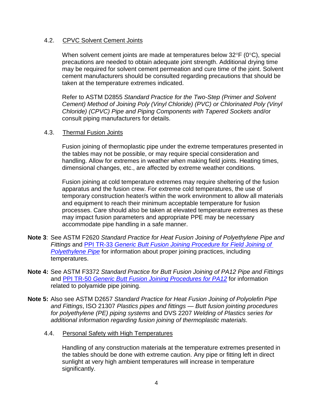#### <span id="page-6-0"></span>4.2. CPVC Solvent Cement Joints

When solvent cement joints are made at temperatures below 32°F (0°C), special precautions are needed to obtain adequate joint strength. Additional drying time may be required for solvent cement permeation and cure time of the joint. Solvent cement manufacturers should be consulted regarding precautions that should be taken at the temperature extremes indicated.

Refer to ASTM D2855 *Standard Practice for the Two-Step (Primer and Solvent Cement) Method of Joining Poly (Vinyl Chloride) (PVC) or Chlorinated Poly (Vinyl Chloride) (CPVC) Pipe and Piping Components with Tapered Sockets* and/or consult piping manufacturers for details.

#### <span id="page-6-1"></span>4.3. Thermal Fusion Joints

Fusion joining of thermoplastic pipe under the extreme temperatures presented in the tables may not be possible, or may require special consideration and handling. Allow for extremes in weather when making field joints. Heating times, dimensional changes, etc., are affected by extreme weather conditions.

Fusion joining at cold temperature extremes may require sheltering of the fusion apparatus and the fusion crew. For extreme cold temperatures, the use of temporary construction heater/s within the work environment to allow all materials and equipment to reach their minimum acceptable temperature for fusion processes. Care should also be taken at elevated temperature extremes as these may impact fusion parameters and appropriate PPE may be necessary accommodate pipe handling in a safe manner.

- **Note 3**: See ASTM F2620 *Standard Practice for Heat Fusion Joining of Polyethylene Pipe and Fittings* and PPI TR-33 *[Generic Butt Fusion Joining Procedure for Field Joining of](http://click.accelo.com/ls/click?upn=K75UyyQt0Gxzr85ozKFFDC728y0OZPgxXQHinsL2sP7KKxtLhAFvrudfGlZqYFp8q9PM_s-2Bm-2BPKDBVR12bElBH-2Fqqmnb1q3woaa5LnlO10iVghA39LcZtVoK3yOg-2FyJd8wh4FKPreWsB4YoMSXMcHBlsVmPFTF0OUuQlkh6EOpc2dTFzH1LLoVP5x6S78pufCQEzpMbM8y5sTjhrxbnpV-2F7DY11SGzmYuKq8pxxnirQc7zgO9lkS0bS0ybzh2AjKRFiwn7m8KsrXChXdW1zbKTbpnm4OB7vj-2FudViXGoW1zlsT5YLDzVpanI-2Fx4DgvPamscK6mxXsIaQSTB1f6SRS1uDhGU3-2FZmUBeF9ZIXEXws4iMTSIO1rLXYbXk9OnCYi-2Brnbo)  [Polyethylene Pipe](http://click.accelo.com/ls/click?upn=K75UyyQt0Gxzr85ozKFFDC728y0OZPgxXQHinsL2sP7KKxtLhAFvrudfGlZqYFp8q9PM_s-2Bm-2BPKDBVR12bElBH-2Fqqmnb1q3woaa5LnlO10iVghA39LcZtVoK3yOg-2FyJd8wh4FKPreWsB4YoMSXMcHBlsVmPFTF0OUuQlkh6EOpc2dTFzH1LLoVP5x6S78pufCQEzpMbM8y5sTjhrxbnpV-2F7DY11SGzmYuKq8pxxnirQc7zgO9lkS0bS0ybzh2AjKRFiwn7m8KsrXChXdW1zbKTbpnm4OB7vj-2FudViXGoW1zlsT5YLDzVpanI-2Fx4DgvPamscK6mxXsIaQSTB1f6SRS1uDhGU3-2FZmUBeF9ZIXEXws4iMTSIO1rLXYbXk9OnCYi-2Brnbo)* for information about proper joining practices, including temperatures.
- **Note 4:** See ASTM F3372 *Standard Practice for Butt Fusion Joining of PA12 Pipe and Fittings* and PPI TR-50 *[Generic Butt Fusion Joining Procedures for PA12](http://click.accelo.com/ls/click?upn=K75UyyQt0Gxzr85ozKFFDC728y0OZPgxXQHinsL2sP4-2FrIcAdlYrzwm-2BhcJajwaUbo3d_s-2Bm-2BPKDBVR12bElBH-2Fqqmnb1q3woaa5LnlO10iVghA39LcZtVoK3yOg-2FyJd8wh4FKPreWsB4YoMSXMcHBlsVmPFTF0OUuQlkh6EOpc2dTFzH1LLoVP5x6S78pufCQEzpMbM8y5sTjhrxbnpV-2F7DY11SGzmYuKq8pxxnirQc7zgMxf86n6ic9S5vX3tBBK8HfL2XXNFXNQVnb-2F9OFGIolhJrr5QmnyxESstY20vl1c9I7qhQSIl0cBbu7G-2BKFvqy3tEz3mbdUHdA9iPYbSAtwdmqi9P2nQfY3F2oN7vD-2FjUuKuZAqn-2B5Iaua0kOhhkJQx)* for information related to polyamide pipe joining.
- <span id="page-6-2"></span>**Note 5:** Also see ASTM D2657 *Standard Practice for Heat Fusion Joining of Polyolefin Pipe and Fittings*, ISO 21307 *Plastics pipes and fittings — Butt fusion jointing procedures for polyethylene (PE) piping systems* and DVS 2207 *Welding of Plastics series for additional information regarding fusion joining of thermoplastic materials*.
	- 4.4. Personal Safety with High Temperatures

Handling of any construction materials at the temperature extremes presented in the tables should be done with extreme caution. Any pipe or fitting left in direct sunlight at very high ambient temperatures will increase in temperature significantly.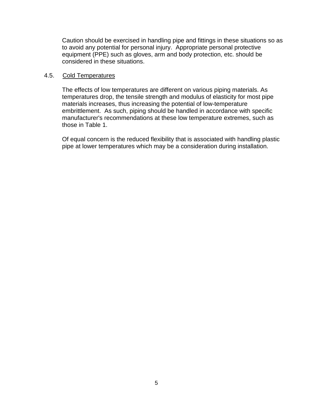Caution should be exercised in handling pipe and fittings in these situations so as to avoid any potential for personal injury. Appropriate personal protective equipment (PPE) such as gloves, arm and body protection, etc. should be considered in these situations.

#### <span id="page-7-0"></span>4.5. Cold Temperatures

The effects of low temperatures are different on various piping materials. As temperatures drop, the tensile strength and modulus of elasticity for most pipe materials increases, thus increasing the potential of low-temperature embrittlement. As such, piping should be handled in accordance with specific manufacturer's recommendations at these low temperature extremes, such as those in Table 1.

Of equal concern is the reduced flexibility that is associated with handling plastic pipe at lower temperatures which may be a consideration during installation.